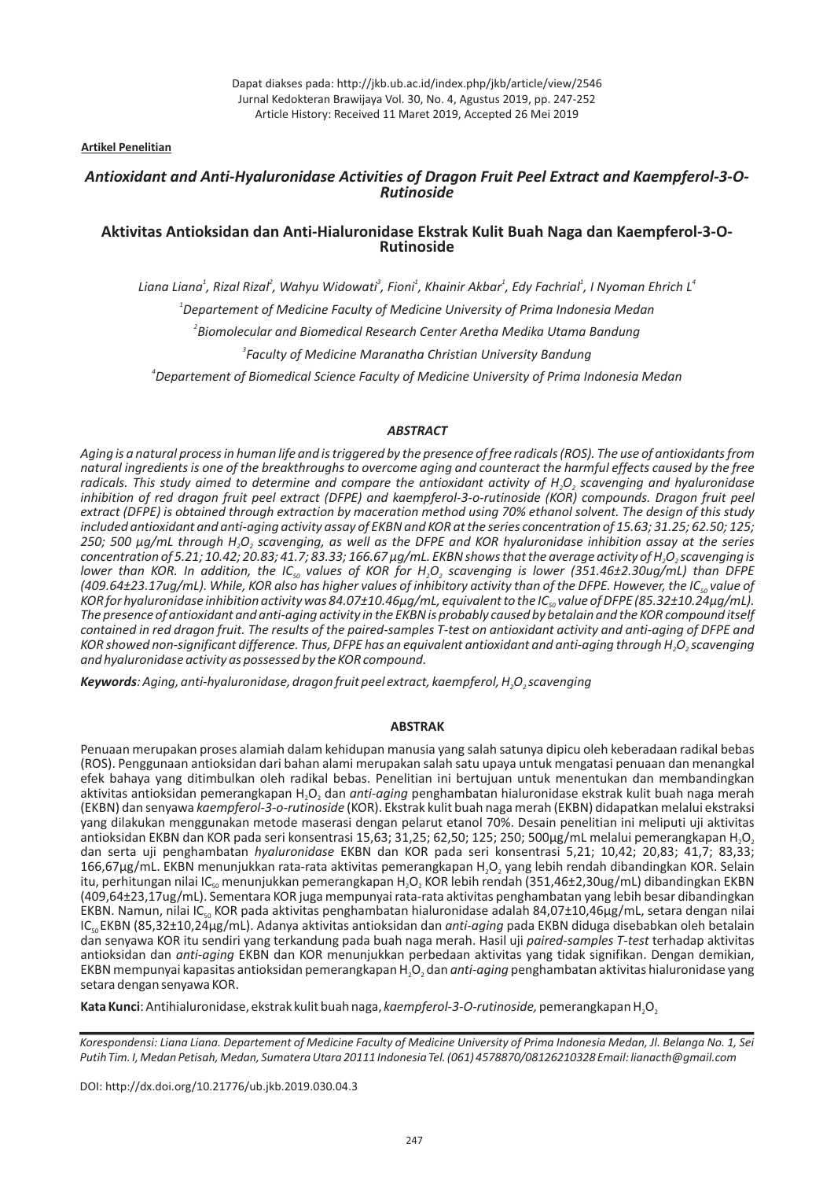**Artikel Penelitian**

# *Antioxidant and Anti-Hyaluronidase Activities of Dragon Fruit Peel Extract and Kaempferol-3-O-Rutinoside*

# **Aktivitas Antioksidan dan Anti-Hialuronidase Ekstrak Kulit Buah Naga dan Kaempferol-3-O-Rutinoside**

 *Departement of Medicine Faculty of Medicine University of Prima Indonesia Medan Departement of Biomedical Science Faculty of Medicine University of Prima Indonesia Medan* Liana Liana $^1$ , Rizal Rizal $^2$ , Wahyu Widowati $^3$ , Fioni $^1$ , Khainir Akbar $^1$ , Edy Fachrial $^1$ , I Nyoman Ehrich L $^\circ$  *Biomolecular and Biomedical Research Center Aretha Medika Utama Bandung Faculty of Medicine Maranatha Christian University Bandung*

# *ABSTRACT*

*Aging is a natural process in human life and is triggered by the presence of free radicals (ROS). The use of antioxidants from natural ingredients is one of the breakthroughs to overcome aging and counteract the harmful effects caused by the free* radicals. This study aimed to determine and compare the antioxidant activity of H<sub>2</sub>O<sub>2</sub> scavenging and hyaluronidase inhibition of red dragon fruit peel extract (DFPE) and kaempferol-3-o-rutinoside (KOR) compounds. Dragon fruit peel *extract DFPE is obtained through extraction by maceration method using 70% ethanol solvent. The design of this study ( ) included antioxidant and anti-aging activity assay of EKBN and KOR at the series concentration of 15.63; 31.25; 62.50; 125;* 250; 500  $\mu$ g/mL through H<sub>2</sub>O<sub>2</sub> scavenging, as well as the DFPE and KOR hyaluronidase inhibition assay at the series  $c$ oncentration of 5.21; 10.42; 20.83; 41.7; 83.33; 166.67  $\mu$ g/mL. EKBN shows that the average activity of H<sub>2</sub>O<sub>2</sub> scavenging is *lower than KOR. In addition, the IC<sub>so</sub> values of KOR for H<sub>2</sub>O<sub>2</sub> scavenging is lower (351.46±2.30ug/mL) than DFPE* (409.64±23.17ug/mL). While, KOR also has higher values of inhibitory activity than of the DFPE. However, the IC<sub>so</sub> value of KOR for hyaluronidase inhibition activity was 84.07±10.46µg/mL, equivalent to the IC<sub>so</sub>value of DFPE (85.32±10.24µg/mL). *The presence of antioxidant and anti-aging activity in the EKBN is probably caused by betalain and the KOR compound itself contained in red dragon fruit. The results of the paired-samples T-test on antioxidant activity and anti-aging of DFPE and* KOR showed non-significant difference. Thus, DFPE has an equivalent antioxidant and anti-aging through H<sub>2</sub>O<sub>2</sub> scavenging *and hyaluronidase activity as possessed by the KOR compound.*

*Keywords: Aging, anti-hyaluronidase, dragon fruit peel extract, kaempferol, H<sub>2</sub>O<sub>2</sub> scavenging* 

## **ABSTRAK**

Penuaan merupakan proses alamiah dalam kehidupan manusia yang salah satunya dipicu oleh keberadaan radikal bebas (ROS). Penggunaan antioksidan dari bahan alami merupakan salah satu upaya untuk mengatasi penuaan dan menangkal efek bahaya yang ditimbulkan oleh radikal bebas. Penelitian ini bertujuan untuk menentukan dan membandingkan aktivitas antioksidan pemerangkapan H<sub>2</sub>O<sub>2</sub> dan *anti-aging* penghambatan hialuronidase ekstrak kulit buah naga merah (EKBN) dan senyawa kaempferol-3-o-rutinoside (KOR). Ekstrak kulit buah naga merah (EKBN) didapatkan melalui ekstraksi yang dilakukan menggunakan metode maserasi dengan pelarut etanol 70%. Desain penelitian ini meliputi uji aktivitas antioksidan EKBN dan KOR pada seri konsentrasi 15,63; 31,25; 62,50; 125; 250; 500µg/mL melalui pemerangkapan H<sub>2</sub>O<sub>2</sub> dan serta uji penghambatan hyaluronidase EKBN dan KOR pada seri konsentrasi 5,21; 10,42; 20,83; 41,7; 83,33;  $166,67$ µg/mL. EKBN menunjukkan rata-rata aktivitas pemerangkapan H<sub>2</sub>O<sub>2</sub> yang lebih rendah dibandingkan KOR. Selain itu, perhitungan nilai IC<sub>so</sub>menunjukkan pemerangkapan H<sub>2</sub>O<sub>2</sub> KOR lebih rendah (351,46±2,30ug/mL) dibandingkan EKBN (409,64±23,17ug/mL). Sementara KOR juga mempunyai rata-rata aktivitas penghambatan yang lebih besar dibandingkan EKBN. Namun, nilai IC<sub>so</sub> KOR pada aktivitas penghambatan hialuronidase adalah 84,07±10,46µg/mL, setara dengan nilai IC<sub>so</sub>EKBN (85,32±10,24µg/mL). Adanya aktivitas antioksidan dan *anti-aging* pada EKBN diduga disebabkan oleh betalain dan senyawa KOR itu sendiri yang terkandung pada buah naga merah. Hasil uji paired-samples T-test terhadap aktivitas antioksidan dan anti-aging EKBN dan KOR menunjukkan perbedaan aktivitas yang tidak signifikan. Dengan demikian, EKBN mempunyai kapasitas antioksidan pemerangkapan H<sub>2</sub>O<sub>2</sub> dan *anti-aging* penghambatan aktivitas hialuronidase yang setara dengan senyawa KOR.

Kata Kunci: Antihialuronidase, ekstrak kulit buah naga, kaempferol-3-O-rutinoside, pemerangkapan H<sub>2</sub>O<sub>2</sub>

Korespondensi: Liana Liana. Departement of Medicine Faculty of Medicine University of Prima Indonesia Medan, Jl. Belanga No. 1, Sei *Putih Tim. I, Medan Petisah, Medan, Sumatera Utara 20111 Indonesia Tel. (061) 4578870/08126210328 Email: lianacth@gmail.com*

DOI: http://dx.doi.org/10.21776/ub.jkb.2019.030.04.3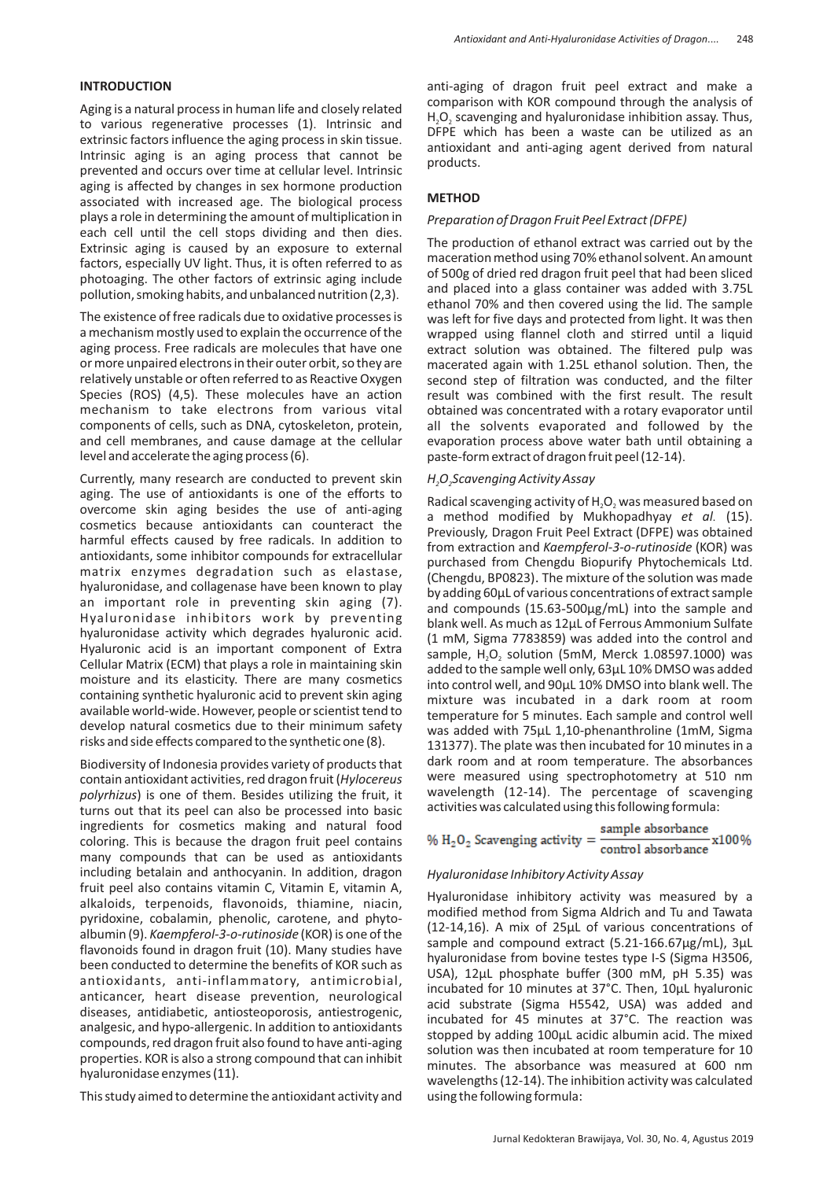# **INTRODUCTION**

Aging is a natural process in human life and closely related to various regenerative processes (1). Intrinsic and extrinsic factors influence the aging process in skin tissue . Intrinsic aging is an aging process that cannot be prevented and occurs over time at cellular level. Intrinsic aging is affected by changes in sex hormone production associated with increased age. The biological process plays a role in determining the amount of multiplication in each cell until the cell stops dividing and then dies. Extrinsic aging is caused by an exposure to external factors, especially UV light. Thus, it is often referred to as photoaging. The other factors of extrinsic aging include pollution, smoking habits, and unbalanced nutrition (2,3).

The existence of free radicals due to oxidative processes is a mechanism mostly used to explain the occurrence of the aging process. Free radicals are molecules that have one or more unpaired electrons in their outer orbit, so they are relatively unstable or often referred to as Reactive Oxygen Species (ROS) (4,5). These molecules have an action mechanism to take electrons from various vital components of cells, such as DNA, cytoskeleton, protein, and cell membranes, and cause damage at the cellular level and accelerate the aging process (6).

Currently, many research are conducted to prevent skin aging. The use of antioxidants is one of the efforts to overcome skin aging besides the use of anti-aging cosmetics because antioxidants can counteract the harmful effects caused by free radicals. In addition to antioxidants, some inhibitor compounds for extracellular matrix enzymes degradation such as elastase, hyaluronidase, and collagenase have been known to play an important role in preventing skin aging (7). Hyaluronidase inhibitors work by preventing hyaluronidase activity which degrades hyaluronic acid. Hyaluronic acid is an important component of Extra Cellular Matrix (ECM) that plays a role in maintaining skin moisture and its elasticity. There are many cosmetics containing synthetic hyaluronic acid to prevent skin aging available world-wide. However, people or scientist tend to develop natural cosmetics due to their minimum safety risks and side effects compared to the synthetic one (8).

Biodiversity of Indonesia provides variety of products that contain antioxidant activities, red dragon fruit (*Hylocereus polyrhizus*) is one of them. Besides utilizing the fruit, it turns out that its peel can also be processed into basic ingredients for cosmetics making and natural food coloring. This is because the dragon fruit peel contains many compounds that can be used as antioxidants including betalain and anthocyanin. In addition, dragon fruit peel also contains vitamin C, Vitamin E, vitamin A, alkaloids, terpenoids, flavonoids, thiamine, niacin, pyridoxine, cobalamin, phenolic, carotene, and phytoalbumin (9). *Kaempferol-3-o-rutinoside* (KOR) is one of the flavonoids found in dragon fruit (10). Many studies have been conducted to determine the benefits of KOR such as antioxidants, anti-inflammatory, antimicrobial, anticancer, heart disease prevention, neurological diseases, antidiabetic, antiosteoporosis, antiestrogenic, analgesic, and hypo-allergenic. In addition to antioxidants compounds, red dragon fruit also found to have anti-aging properties. KOR is also a strong compound that can inhibit hyaluronidase enzymes (11).

This study aimed to determine the antioxidant activity and

anti-aging of dragon fruit peel extract and make a comparison with KOR compound through the analysis of  $H_2O_2$  scavenging and hyaluronidase inhibition assay. Thus, DFPE which has been a waste can be utilized as an antioxidant and anti-aging agent derived from natural products.

## **METHOD**

### *Preparation of Dragon Fruit Peel Extract (DFPE)*

The production of ethanol extract was carried out by the maceration method using 70% ethanol solvent. An amount of 500g of dried red dragon fruit peel that had been sliced and placed into a glass container was added with 3.75L ethanol 70% and then covered using the lid. The sample was left for five days and protected from light. It was then wrapped using flannel cloth and stirred until a liquid extract solution was obtained. The filtered pulp was macerated again with 1.25L ethanol solution. Then, the second step of filtration was conducted, and the filter result was combined with the first result. The result obtained was concentrated with a rotary evaporator until all the solvents evaporated and followed by the evaporation process above water bath until obtaining a paste-form extract of dragon fruit peel (12-14).

### *H O Scavenging Activity Assay 2 2*

Radical scavenging activity of  $H_2O_2$  was measured based on a method modified by Mukhopadhyay et al. (15). Previously, Dragon Fruit Peel Extract (DFPE) was obtained from extraction and Kaempferol-3-o-rutinoside (KOR) was purchased from Chengdu Biopurify Phytochemicals Ltd. (Chengdu, BP0823). The mixture of the solution was made by adding 60µL of various concentrations of extract sample and compounds (15.63-500µg/mL) into the sample and blank well. As much as 12µL of Ferrous Ammonium Sulfate (1 mM, Sigma 7783859) was added into the control and sample,  $H_2O_2$  solution (5mM, Merck 1.08597.1000) was added to the sample well only, 63µL 10% DMSO was added into control well, and 90µL 10% DMSO into blank well. The mixture was incubated in a dark room at room temperature for 5 minutes. Each sample and control well was added with 75µL 1,10-phenanthroline (1mM, Sigma 131377). The plate was then incubated for 10 minutes in a dark room and at room temperature. The absorbances were measured using spectrophotometry at 510 nm wavelength (12-14). The percentage of scavenging activities was calculated using this following formula:

%  $H_2O_2$  Scavenging activity =  $\frac{\text{sample absorbance}}{\text{control absorbance}}$  x100%

# *Hyaluronidase Inhibitory Activity Assay*

Hyaluronidase inhibitory activity was measured by a modified method from Sigma Aldrich and Tu and Tawata  $(12-14, 16)$ . A mix of  $25\mu$ L of various concentrations of sample and compound extract (5.21-166.67µg/mL), 3µL hyaluronidase from bovine testes type I-S (Sigma H3506, USA), 12µL phosphate buffer (300 mM, pH 5.35) was incubated for 10 minutes at 37°C. Then, 10µL hyaluronic acid substrate (Sigma H5542, USA) was added and incubated for 45 minutes at 37°C. The reaction was stopped by adding 100µL acidic albumin acid. The mixed solution was then incubated at room temperature for 10 minutes. The absorbance was measured at 600 nm wavelengths (12-14). The inhibition activity was calculated using the following formula: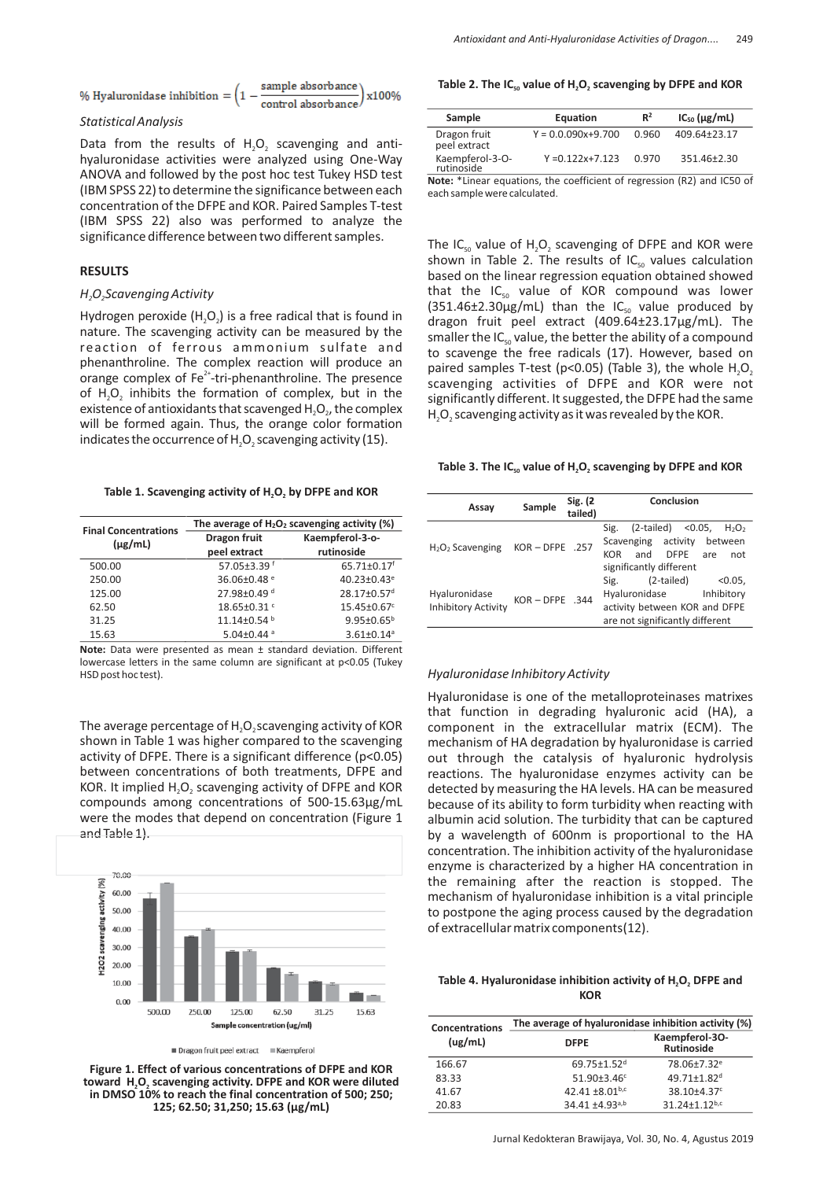% Hyaluronidase inhibition = 
$$
\left(1 - \frac{\text{sample absorbance}}{\text{control absorbance}}\right) \times 100\%
$$

### *Statistical Analysis*

Data from the results of  $H_2O_2$  scavenging and antihyaluronidase activities were analyzed using One-Way ANOVA and followed by the post hoc test Tukey HSD test (IBM SPSS 22) to determine the significance between each concentration of the DFPE and KOR. Paired Samples T-test (IBM SPSS 22) also was performed to analyze the significance difference between two different samples.

## **RESULTS**

#### *H<sub>2</sub>O<sub>2</sub>Scavenging Activity*

Hydrogen peroxide  $(H_2O_2)$  is a free radical that is found in nature. The scavenging activity can be measured by the reaction of ferrous ammonium sulfate and phenanthroline. The complex reaction will produce an orange complex of  $Fe^{2+}$ -tri-phenanthroline. The presence of  $H_2O_2$  inhibits the formation of complex, but in the existence of antioxidants that scavenged  $H_2O_2$ , the complex will be formed again. Thus, the orange color formation indicates the occurrence of H ${_{2}O_{2}}$  scavenging activity (15).

### Table 1. Scavenging activity of H<sub>2</sub>O<sub>2</sub> by DFPE and KOR

| <b>Final Concentrations</b> | The average of $H_2O_2$ scavenging activity (%) |                              |  |
|-----------------------------|-------------------------------------------------|------------------------------|--|
| $(\mu$ g/mL)                | Dragon fruit                                    | Kaempferol-3-o-              |  |
|                             | peel extract                                    | rutinoside                   |  |
| 500.00                      | 57.05±3.39f                                     | 65.71±0.17f                  |  |
| 250.00                      | 36.06±0.48 <sup>e</sup>                         | 40.23±0.43 <sup>e</sup>      |  |
| 125.00                      | 27.98±0.49 <sup>d</sup>                         | 28.17±0.57 <sup>d</sup>      |  |
| 62.50                       | 18.65±0.31 <sup>c</sup>                         | 15.45±0.67c                  |  |
| 31.25                       | 11.14±0.54 b                                    | $9.95 \pm 0.65^{\rm b}$      |  |
| 15.63                       | 5.04±0.44 $a$                                   | $3.61 \pm 0.14$ <sup>a</sup> |  |

**Note:** Data were presented as mean ± standard deviation. Different lowercase letters in the same column are significant at p<0.05 (Tukey HSD post hoc test).

The average percentage of  $H_2O_2$ scavenging activity of KOR shown in Table 1 was higher compared to the scavenging activity of DFPE. There is a significant difference (p<0.05) between concentrations of both treatments, DFPE and KOR. It implied  $H_2O_2$  scavenging activity of DFPE and KOR compounds among concentrations of 500-15.63µg/mL were the modes that depend on concentration (Figure 1 and Table 1).



Dragon fruit peel extract = Kaempferol

**Figure 1. Effect of various concentrations of DFPE and KOR** toward H<sub>2</sub>O<sub>2</sub> scavenging activity. DFPE and KOR were diluted **in DMSO 10% to reach the final concentration of 500; 250; 125; 62.50; 31,250; 15.63 (µg/mL)**

#### Table 2. The IC<sub>50</sub> value of H<sub>2</sub>O<sub>2</sub> scavenging by DFPE and KOR

| Sample                        | Equation               | $R^2$ | $IC_{50}$ ( $\mu$ g/mL) |  |
|-------------------------------|------------------------|-------|-------------------------|--|
| Dragon fruit<br>peel extract  | $Y = 0.0.090x + 9.700$ | 0.960 | 409.64±23.17            |  |
| Kaempferol-3-O-<br>rutinoside | $Y = 0.122x + 7.123$   | 0.970 | 351.46±2.30             |  |
|                               |                        |       |                         |  |

**Note:** \*Linear equations, the coefficient of regression (R2) and IC50 of each sample were calculated.

The IC<sub>50</sub> value of  $H_2O_2$  scavenging of DFPE and KOR were shown in Table 2. The results of  $IC_{50}$  values calculation based on the linear regression equation obtained showed that the  $IC_{50}$  value of KOR compound was lower  $(351.46\pm2.30 \mu g/mL)$  than the IC<sub>50</sub> value produced by dragon fruit peel extract (409.64±23.17µg/mL). The smaller the  $IC_{s_0}$  value, the better the ability of a compound to scavenge the free radicals (17). However, based on paired samples T-test (p<0.05) (Table 3), the whole  $H_2O_2$ scavenging activities of DFPE and KOR were not significantly different. It suggested, the DFPE had the same  $H_2O_2$  scavenging activity as it was revealed by the KOR.

#### Table 3. The IC<sub>50</sub> value of H<sub>2</sub>O<sub>2</sub> scavenging by DFPE and KOR

| Assay                                       | Sample            | Sig. (2)<br>tailed) | Conclusion                                     |
|---------------------------------------------|-------------------|---------------------|------------------------------------------------|
|                                             |                   |                     | $(2-tailed) < 0.05$ ,<br>Sig.<br>$H_2O_2$      |
|                                             |                   | $KOR - DFPE$ .257   | activity<br>Scavenging<br>between              |
| $H2O2$ Scavenging                           |                   |                     | <b>DEPE</b><br><b>KOR</b><br>and<br>are<br>not |
|                                             |                   |                     | significantly different                        |
|                                             | $KOR - DFPE$ .344 |                     | (2-tailed)<br>< 0.05.<br>Sig.                  |
| Hyaluronidase<br><b>Inhibitory Activity</b> |                   |                     | Hyaluronidase<br>Inhibitory                    |
|                                             |                   |                     | activity between KOR and DFPE                  |
|                                             |                   |                     | are not significantly different                |

#### *Hyaluronidase Inhibitory Activity*

Hyaluronidase is one of the metalloproteinases matrixes that function in degrading hyaluronic acid (HA), a component in the extracellular matrix (ECM). The mechanism of HA degradation by hyaluronidase is carried out through the catalysis of hyaluronic hydrolysis reactions. The hyaluronidase enzymes activity can be detected by measuring the HA levels. HA can be measured because of its ability to form turbidity when reacting with albumin acid solution. The turbidity that can be captured by a wavelength of 600nm is proportional to the HA concentration. The inhibition activity of the hyaluronidase enzyme is characterized by a higher HA concentration in the remaining after the reaction is stopped. The mechanism of hyaluronidase inhibition is a vital principle to postpone the aging process caused by the degradation of extracellular matrix components(12).

| Table 4. Hyaluronidase inhibition activity of H <sub>2</sub> O <sub>2</sub> DFPE and |
|--------------------------------------------------------------------------------------|
| <b>KOR</b>                                                                           |

| <b>Concentrations</b> | The average of hyaluronidase inhibition activity (%) |                                     |  |  |
|-----------------------|------------------------------------------------------|-------------------------------------|--|--|
| (ug/mL)               | <b>DFPE</b>                                          | Kaempferol-30-<br><b>Rutinoside</b> |  |  |
| 166.67                | $69.75 \pm 1.52$ <sup>d</sup>                        | 78.06+7.32 <sup>e</sup>             |  |  |
| 83.33                 | $51.90 \pm 3.46$ <sup>c</sup>                        | 49.71±1.82 <sup>d</sup>             |  |  |
| 41.67                 | 42.41 +8.01 <sup>b,c</sup>                           | 38.10±4.37 <sup>c</sup>             |  |  |
| 20.83                 | $34.41 + 4.93^{a,b}$                                 | 31.24+1.12b,c                       |  |  |

Jurnal Kedokteran Brawijaya, Vol. 30, No. 4, Agustus 2019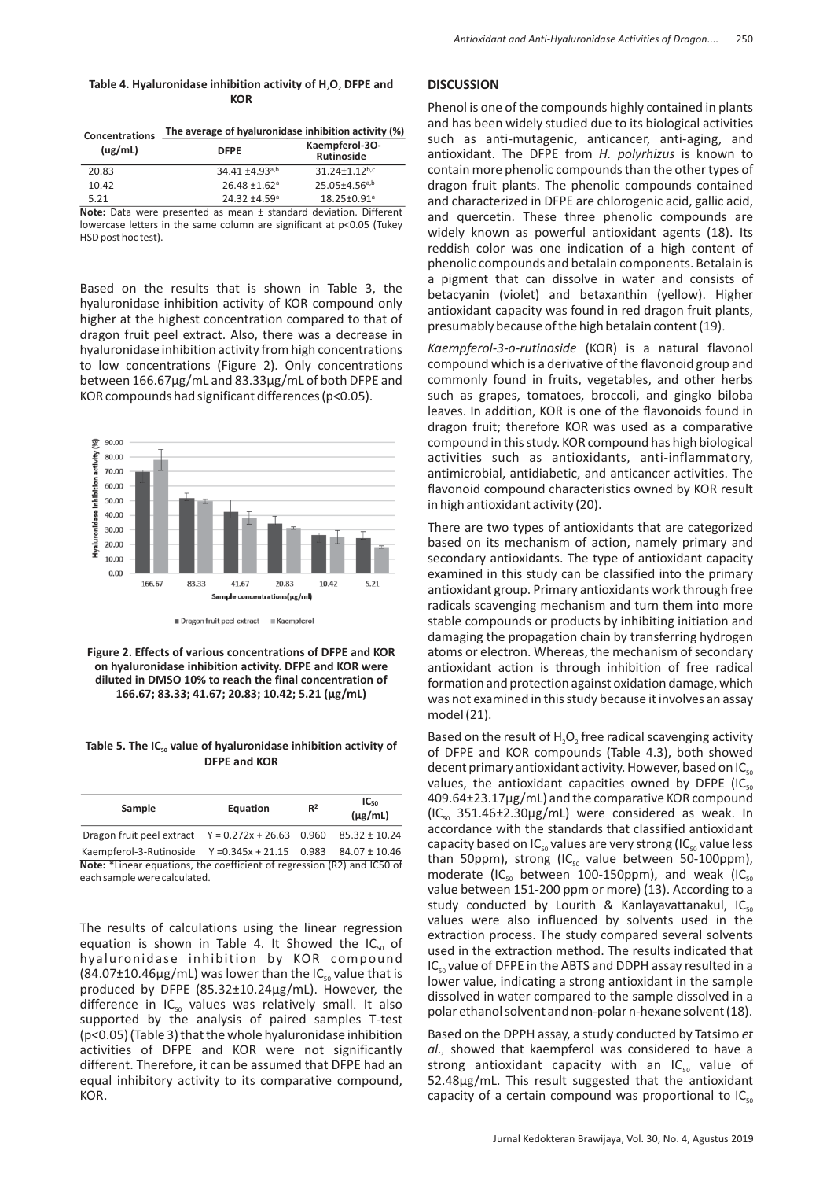| Table 4. Hyaluronidase inhibition activity of H <sub>2</sub> O <sub>2</sub> DFPE and |  |
|--------------------------------------------------------------------------------------|--|
| <b>KOR</b>                                                                           |  |

| <b>Concentrations</b> | The average of hyaluronidase inhibition activity (%)             |                                     |  |  |
|-----------------------|------------------------------------------------------------------|-------------------------------------|--|--|
| (ug/mL)               | <b>DFPE</b>                                                      | Kaempferol-30-<br><b>Rutinoside</b> |  |  |
| 20.83                 | $34.41 + 4.93^{a,b}$                                             | 31.24+1.12b,c                       |  |  |
| 10.42                 | $26.48 \pm 1.62$ <sup>a</sup>                                    | $25.05{\pm}4.56^{a,b}$              |  |  |
| 5.21                  | $24.32 + 4.59$ <sup>a</sup>                                      | 18.25±0.91 <sup>a</sup>             |  |  |
|                       | Nata: Data were presented as mean + standard deviation Different |                                     |  |  |

**Note:** Data were presented as mean + standard deviation. lowercase letters in the same column are significant at p<0.05 (Tukey HSD post hoc test).

Based on the results that is shown in Table 3, the hyaluronidase inhibition activity of KOR compound only higher at the highest concentration compared to that of dragon fruit peel extract. Also, there was a decrease in hyaluronidase inhibition activity from high concentrations to low concentrations (Figure 2). Only concentrations between 166.67µg/mL and 83.33µg/mL of both DFPE and KOR compounds had significant differences (p<0.05).



Dragon fruit peel extract = Kaempfero

**Figure 2. Effects of various concentrations of DFPE and KOR on hyaluronidase inhibition activity. DFPE and KOR were diluted in DMSO 10% to reach the final concentration of 166.67; 83.33; 41.67; 20.83; 10.42; 5.21 (µg/mL)**

## Table 5. The IC<sub>50</sub> value of hyaluronidase inhibition activity of **DFPE and KOR**

| Sample                                                                  | Equation | R <sup>2</sup> | $IC_{50}$<br>$(\mu$ g/mL) |  |
|-------------------------------------------------------------------------|----------|----------------|---------------------------|--|
| Dragon fruit peel extract $Y = 0.272x + 26.63$ 0.960 85.32 ± 10.24      |          |                |                           |  |
| Kaempferol-3-Rutinoside Y = 0.345x + 21.15 0.983 84.07 ± 10.46          |          |                |                           |  |
| Note: *Linear equations, the coefficient of regression (R2) and IC50 of |          |                |                           |  |
| each sample were calculated.                                            |          |                |                           |  |

The results of calculations using the linear regression equation is shown in Table 4. It Showed the  $IC_{50}$  of hyaluronidase inhibition by KOR compound  $(84.07 \pm 10.46 \mu g/mL)$  was lower than the IC<sub>50</sub> value that is produced by DFPE (85.32±10.24µg/mL). However, the difference in  $IC_{50}$  values was relatively small. It also supported by the analysis of paired samples T-test (p<0.05) (Table 3) that the whole hyaluronidase inhibition activities of DFPE and KOR were not significantly different. Therefore, it can be assumed that DFPE had an equal inhibitory activity to its comparative compound, KOR.

# **DISCUSSION**

Phenol is one of the compounds highly contained in plants and has been widely studied due to its biological activities such as anti-mutagenic, anticancer, anti-aging, and antioxidant. The DFPE from H. polyrhizus is known to contain more phenolic compounds than the other types of dragon fruit plants. The phenolic compounds contained and characterized in DFPE are chlorogenic acid, gallic acid, and quercetin. These three phenolic compounds are widely known as powerful antioxidant agents (18). Its reddish color was one indication of a high content of phenolic compounds and betalain components. Betalain is a pigment that can dissolve in water and consists of betacyanin (violet) and betaxanthin (yellow). Higher antioxidant capacity was found in red dragon fruit plants, presumably because of the high betalain content (19).

*Kaempferol-3-o-rutinoside* (KOR) is a natural flavonol compound which is a derivative of the flavonoid group and commonly found in fruits, vegetables, and other herbs such as grapes, tomatoes, broccoli, and gingko biloba leaves. In addition, KOR is one of the flavonoids found in dragon fruit; therefore KOR was used as a comparative compound in this study. KOR compound has high biological activities such as antioxidants, anti-inflammatory, antimicrobial, antidiabetic, and anticancer activities. The flavonoid compound characteristics owned by KOR result in high antioxidant activity (20).

There are two types of antioxidants that are categorized based on its mechanism of action, namely primary and secondary antioxidants. The type of antioxidant capacity examined in this study can be classified into the primary antioxidant group. Primary antioxidants work through free radicals scavenging mechanism and turn them into more stable compounds or products by inhibiting initiation and damaging the propagation chain by transferring hydrogen atoms or electron. Whereas, the mechanism of secondary antioxidant action is through inhibition of free radical formation and protection against oxidation damage, which was not examined in this study because it involves an assay model $(21)$ .

Based on the result of  $H_2O_2$  free radical scavenging activity of DFPE and KOR compounds (Table 4.3), both showed decent primary antioxidant activity. However, based on IC<sub>sc</sub> values, the antioxidant capacities owned by DFPE (IC $_{sc}$ 409.64±23.17µg/mL) and the comparative KOR compound  $(IC_{50}$  351.46±2.30 $\mu$ g/mL) were considered as weak. In accordance with the standards that classified antioxidant capacity based on IC<sub>50</sub> values are very strong (IC<sub>50</sub> value less than 50ppm), strong (IC $_{50}$  value between 50-100ppm), moderate (IC<sub>50</sub> between 100-150ppm), and weak (IC<sub>50</sub> value between 151-200 ppm or more) (13). According to a study conducted by Lourith & Kanlayavattanakul, IC<sub>sc</sub> values were also influenced by solvents used in the extraction process. The study compared several solvents used in the extraction method. The results indicated that  $IC_{50}$  value of DFPE in the ABTS and DDPH assay resulted in a lower value, indicating a strong antioxidant in the sample dissolved in water compared to the sample dissolved in a polar ethanol solvent and non-polar n-hexane solvent (18).

Based on the DPPH assay, a study conducted by Tatsimo *et al.,* showed that kaempferol was considered to have a strong antioxidant capacity with an  $IC_{50}$  value of 52.48µg/mL. This result suggested that the antioxidant capacity of a certain compound was proportional to  $IC_{sc}$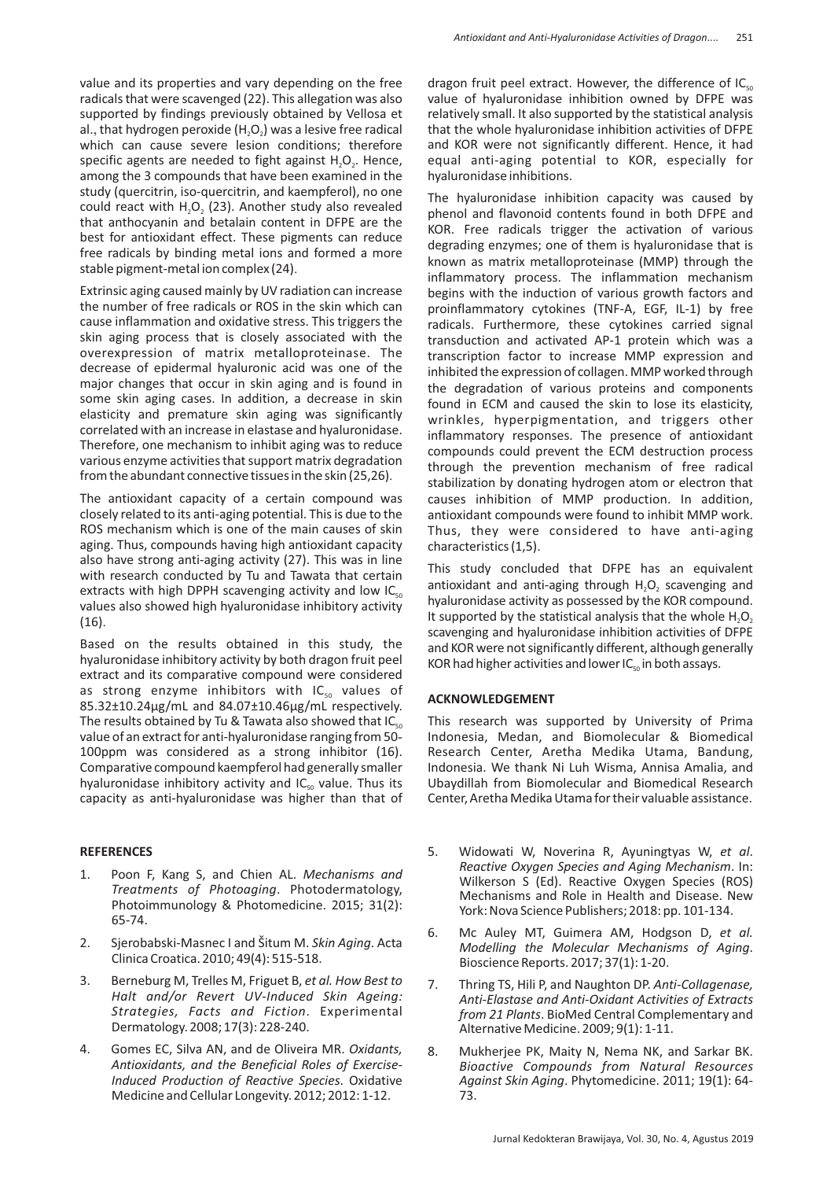value and its properties and vary depending on the free radicals that were scavenged (22). This allegation was also supported by findings previously obtained by Vellosa et al., that hydrogen peroxide (H<sub>2</sub>O<sub>2</sub>) was a lesive free radical which can cause severe lesion conditions; therefore specific agents are needed to fight against  $H_2O_2$ . Hence, among the 3 compounds that have been examined in the study (quercitrin, iso-quercitrin, and kaempferol), no one could react with  $H_2O_2$  (23). Another study also revealed that anthocyanin and betalain content in DFPE are the best for antioxidant effect. These pigments can reduce free radicals by binding metal ions and formed a more stable pigment-metal ion complex (24).

Extrinsic aging caused mainly by UV radiation can increase the number of free radicals or ROS in the skin which can cause inflammation and oxidative stress. This triggers the skin aging process that is closely associated with the overexpression of matrix metalloproteinase. The decrease of epidermal hyaluronic acid was one of the major changes that occur in skin aging and is found in some skin aging cases. In addition, a decrease in skin elasticity and premature skin aging was significantly correlated with an increase in elastase and hyaluronidase. Therefore, one mechanism to inhibit aging was to reduce various enzyme activities that support matrix degradation from the abundant connective tissues in the skin (25,26).

The antioxidant capacity of a certain compound was closely related to its anti-aging potential. This is due to the ROS mechanism which is one of the main causes of skin aging. Thus, compounds having high antioxidant capacity also have strong anti-aging activity (27). This was in line with research conducted by Tu and Tawata that certain extracts with high DPPH scavenging activity and low  $IC_{sc}$ values also showed high hyaluronidase inhibitory activity (16).

Based on the results obtained in this study, the hyaluronidase inhibitory activity by both dragon fruit peel extract and its comparative compound were considered as strong enzyme inhibitors with  $IC_{50}$  values of 85.32±10.24µg/mL and 84.07±10.46µg/mL respectively. The results obtained by Tu & Tawata also showed that I $C_{\text{sc}}$ value of an extract for anti-hyaluronidase ranging from 50 - 100ppm was considered as a strong inhibitor (16). Comparative compound kaempferol had generally smaller hyaluronidase inhibitory activity and  $IC_{50}$  value. Thus its capacity as anti-hyaluronidase was higher than that of

## **REFERENCES**

- 1. Poon F, Kang S, and Chien AL. *Mechanisms and Treatments of Photoaging*. Photodermatology, Photoimmunology & Photomedicine. 2015; 31(2): 65-74.
- 2. Sjerobabski-Masnec I and Šitum M. Skin Aging. Acta Clinica Croatica. 2010; 49(4): 515-518.
- 3. Berneburg M, Trelles M, Friguet B, *et al. How Best to Halt and/or Revert UV-Induced Skin Ageing: Strategies, Facts and Fiction*. Experimental Dermatology. 2008; 17(3): 228-240.
- 4. Gomes EC, Silva AN, and de Oliveira MR. *Oxidants, Antioxidants, and the Beneficial Roles of Exercise-Induced Production of Reactive Species*. Oxidative Medicine and Cellular Longevity. 2012; 2012: 1-12.

dragon fruit peel extract. However, the difference of  $IC_{sc}$ value of hyaluronidase inhibition owned by DFPE was relatively small. It also supported by the statistical analysis that the whole hyaluronidase inhibition activities of DFPE and KOR were not significantly different. Hence, it had equal anti-aging potential to KOR, especially for hyaluronidase inhibitions.

The hyaluronidase inhibition capacity was caused by phenol and flavonoid contents found in both DFPE and KOR. Free radicals trigger the activation of various degrading enzymes; one of them is hyaluronidase that is known as matrix metalloproteinase (MMP) through the inflammatory process. The inflammation mechanism begins with the induction of various growth factors and proinflammatory cytokines (TNF-A, EGF, IL-1) by free radicals. Furthermore, these cytokines carried signal transduction and activated AP-1 protein which was a transcription factor to increase MMP expression and inhibited the expression of collagen. MMP worked through the degradation of various proteins and components found in ECM and caused the skin to lose its elasticity, wrinkles, hyperpigmentation, and triggers other inflammatory responses. The presence of antioxidant compounds could prevent the ECM destruction process through the prevention mechanism of free radical stabilization by donating hydrogen atom or electron that causes inhibition of MMP production. In addition, antioxidant compounds were found to inhibit MMP work. Thus, they were considered to have anti-aging characteristics (1,5).

This study concluded that DFPE has an equivalent antioxidant and anti-aging through  $H_2O_2$  scavenging and hyaluronidase activity as possessed by the KOR compound. It supported by the statistical analysis that the whole  $H_2O_2$ scavenging and hyaluronidase inhibition activities of DFPE and KOR were not significantly different, although generally KOR had higher activities and lower  $IC_{s_0}$  in both assays.

## **ACKNOWLEDGEMENT**

This research was supported by University of Prima Indonesia, Medan, and Biomolecular & Biomedical Research Center, Aretha Medika Utama, Bandung, Indonesia. We thank Ni Luh Wisma, Annisa Amalia, and Ubaydillah from Biomolecular and Biomedical Research Center, Aretha Medika Utama for their valuable assistance.

- 5. Widowati W, Noverina R, Ayuningtyas W, et al. *Reactive Oxygen Species and Aging Mechanism*. In: Wilkerson S (Ed). Reactive Oxygen Species (ROS) Mechanisms and Role in Health and Disease. New York: Nova Science Publishers; 2018: pp. 101-134.
- 6. Mc Auley MT, Guimera AM, Hodgson D, *et al. Modelling the Molecular Mechanisms of Aging*. Bioscience Reports. 2017; 37(1): 1-20.
- 7. Thring TS, Hili P, and Naughton DP. *Anti-Collagenase, Anti-Elastase and Anti-Oxidant Activities of Extracts from 21 Plants*. BioMed Central Complementary and Alternative Medicine. 2009; 9(1): 1-11.
- 8. Mukherjee PK, Maity N, Nema NK, and Sarkar BK. *Bioactive Compounds from Natural Resources Against Skin Aging*. Phytomedicine. 2011; 19(1): 64- 73.